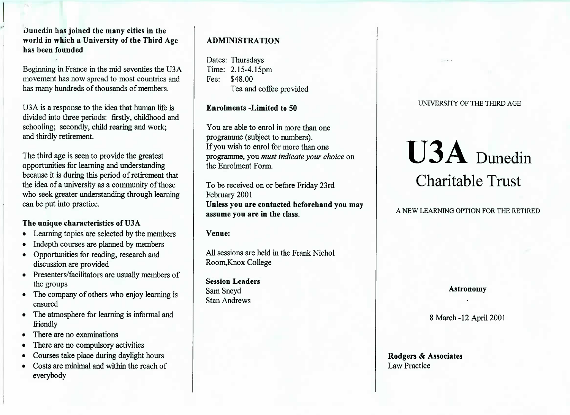Duncdin has joined the many cities in the world in which a University of the Third Agehas been founded

Beginning in France in the mid seventies the U3A movement has now spread to most countries andhas many hundreds of thousands of members.

U3A is a response to the idea that human life is divided into three periods: firstly, childhood andschooling; secondly, child rearing and work;and thirdly retirement.

The third age is seen to provide the greatest opportunities for learning and understanding because it is during this period of retirement that the idea of a university as a community of those who seek greater understanding through learningcan be put into practice.

## The unique characteristics of U3A

- Learning topics are selected by the members
- Indepth courses are planned by members
- Opportunities for reading, research anddiscussion are provided
- Presenters/facilitators are usually members ofthe groups
- The company of others who enjoy learning isensured
- The atmosphere for learning is informal andfriendly
- There are no examinations
- There are no compulsory activities
- Courses take place during daylight hours
- Costs are minimal and within the reach ofeverybody

# ADMINISTRATION

Dates: Thursdays Time: 2.15-4.15pmFee: \$48.00Tea and coffee provided

Enrolments -Limited to 50

You are able to enrol in more than oneprogramme (subject to numbers). If you wish to enrol for more than one programme, you *must indicate your choice* onthe Enrolment Form.

To be received on or before Friday 23rdFebruary 2001 Unless you are contacted beforehand you mayassume you are in the class.

Venue:

All sessions are held in the Frank NicholRoom,Knox College

Session LeadersSam SneydStan Andrews

## UNIVERSITY OF THE THIRD AGE

# **U3A** Dunedin Charitable Trust

# A NEW LEARNING OPTION FOR THE RETIRED

#### Astronomy

8 March-12 April 2001

## Rodgers & AssociatesLaw Practice